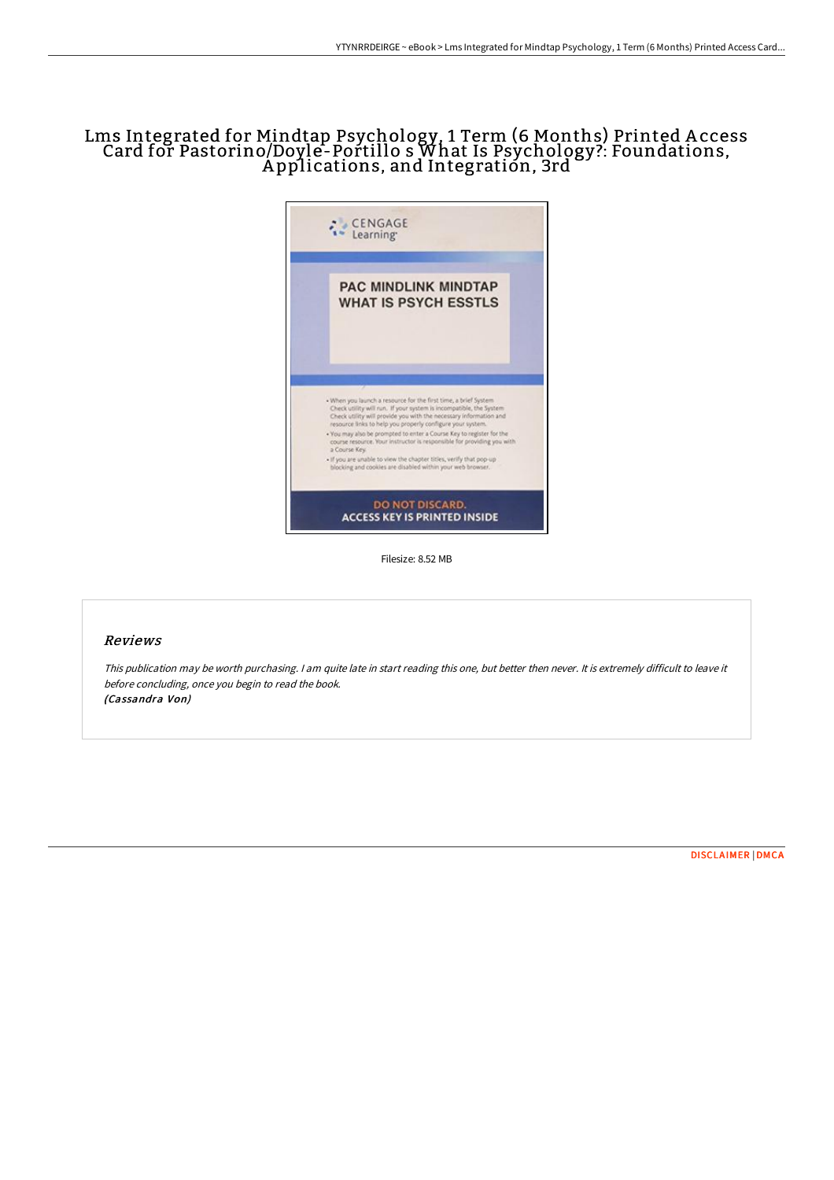# Lms Integrated for Mindtap Psychology, 1 Term (6 Months) Printed A ccess Card for Pastorino/Doyle-Portillo s What Is Psychology?: Foundations, Applications, and Integratión, 3rd`



Filesize: 8.52 MB

## Reviews

This publication may be worth purchasing. <sup>I</sup> am quite late in start reading this one, but better then never. It is extremely difficult to leave it before concluding, once you begin to read the book. (Cassandra Von)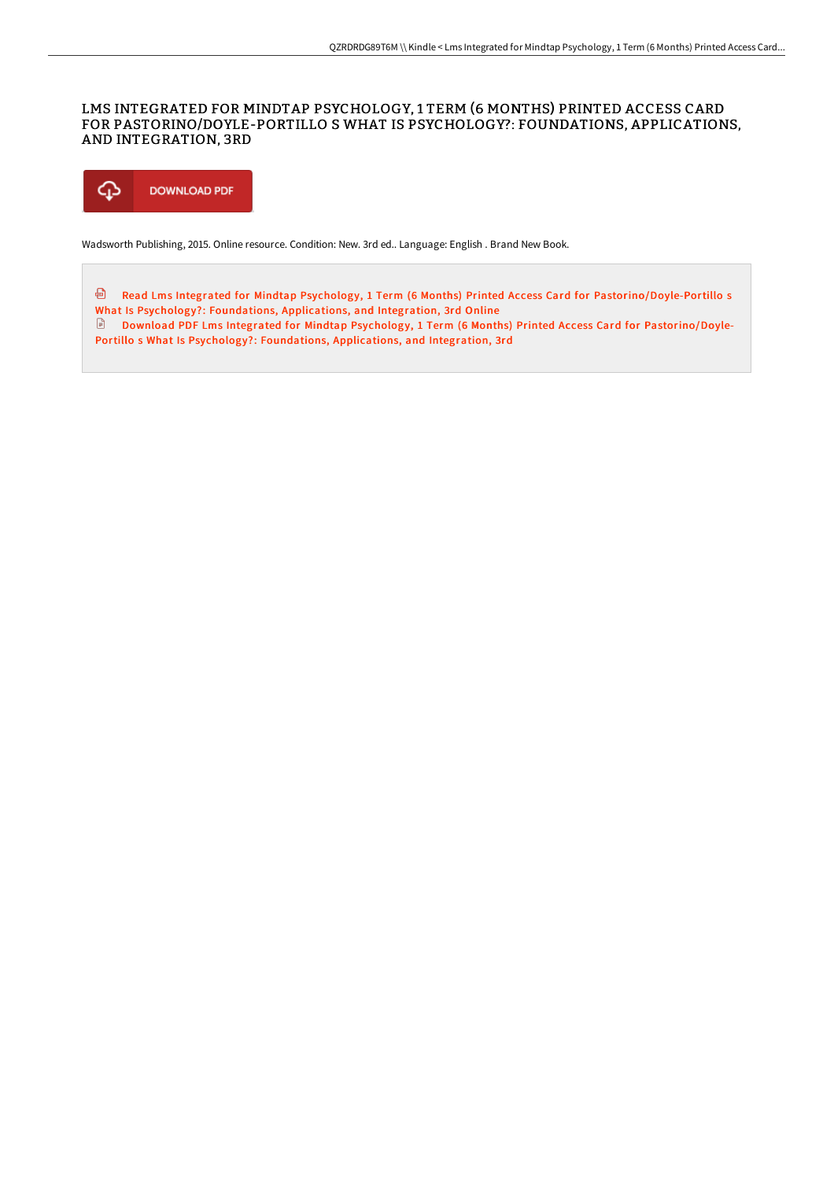## LMS INTEGRATED FOR MINDTAP PSYCHOLOGY, 1 TERM (6 MONTHS) PRINTED ACCESS CARD FOR PASTORINO/DOYLE-PORTILLO S WHAT IS PSYCHOLOGY?: FOUNDATIONS, APPLICATIONS, AND INTEGRATION, 3RD



Wadsworth Publishing, 2015. Online resource. Condition: New. 3rd ed.. Language: English . Brand New Book.

⊕ Read Lms Integrated for Mindtap Psychology, 1 Term (6 Months) Printed Access Card for [Pastorino/Doyle-Portillo](http://www.bookdirs.com/lms-integrated-for-mindtap-psychology-1-term-6-m-9.html) s What Is Psychology?: Foundations, Applications, and Integration, 3rd Online Download PDF Lms Integrated for Mindtap Psychology, 1 Term (6 Months) Printed Access Card for [Pastorino/Doyle-](http://www.bookdirs.com/lms-integrated-for-mindtap-psychology-1-term-6-m-9.html)Portillo s What Is Psychology?: Foundations, Applications, and Integration, 3rd